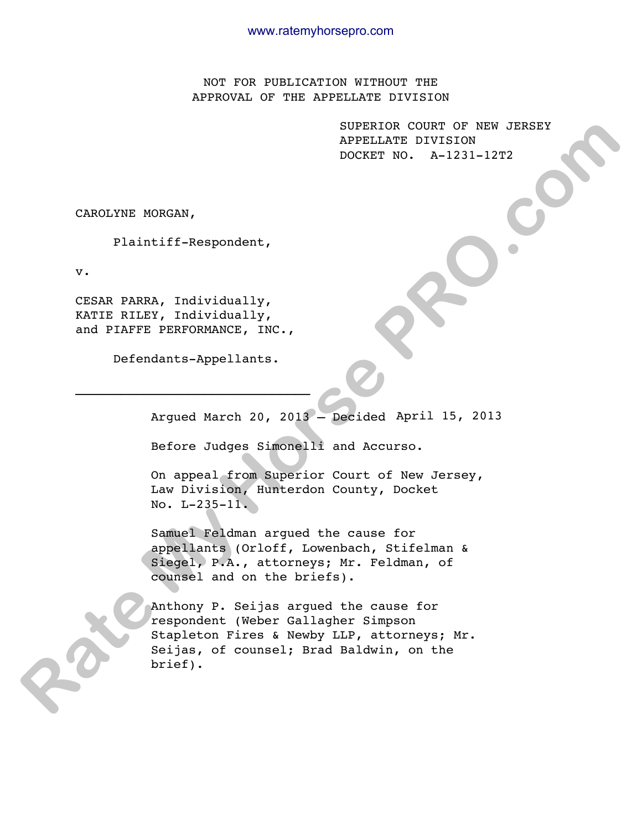NOT FOR PUBLICATION WITHOUT THE APPROVAL OF THE APPELLATE DIVISION

> SUPERIOR COURT OF NEW JERSEY APPELLATE DIVISION DOCKET NO. A-1231-12T2

CAROLYNE MORGAN,

Plaintiff-Respondent,

v.

CESAR PARRA, Individually, KATIE RILEY, Individually, and PIAFFE PERFORMANCE, INC.,

Defendants-Appellants.

 $\mathcal{L}_\text{max}$ 

Argued March 20, 2013 – Decided April 15, 2013

Before Judges Simonelli and Accurso.

On appeal from Superior Court of New Jersey, Law Division, Hunterdon County, Docket No. L-235-11.

Samuel Feldman argued the cause for appellants (Orloff, Lowenbach, Stifelman & Siegel, P.A., attorneys; Mr. Feldman, of counsel and on the briefs).

Anthony P. Seijas argued the cause for respondent (Weber Gallagher Simpson Stapleton Fires & Newby LLP, attorneys; Mr. Seijas, of counsel; Brad Baldwin, on the brief). **RATE AND ASSEM AND ASSEM AND A SUPER AND ANOTHER CONSULARY DIVISION**<br> **RATE LIGATE DIVISION**<br> **RATE AND A DIVISION**<br> **RATE AND A DIVISION**<br> **RATE RATE AND A DIVISION**<br> **RATE AND A DIVISION AND AND A DIVISION**<br> **RATE AND A**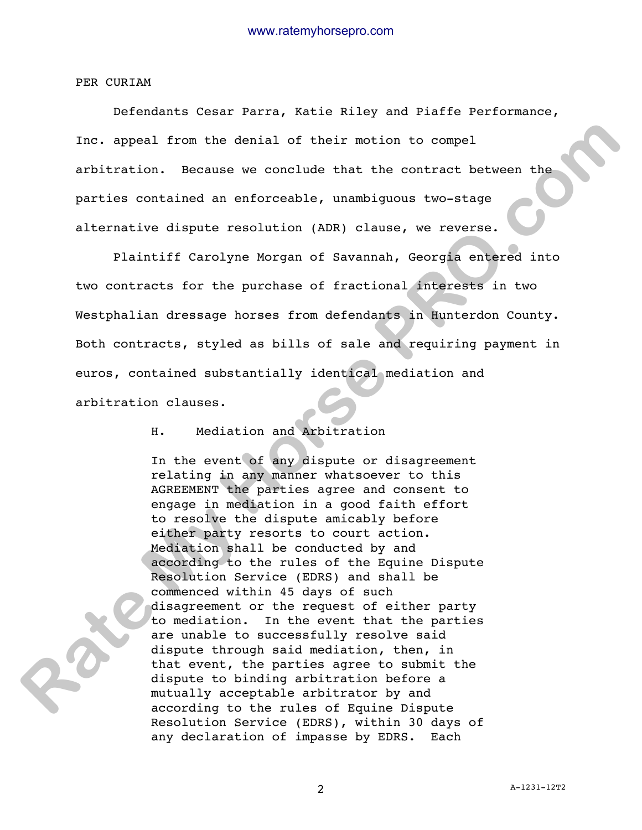PER CURIAM

 Defendants Cesar Parra, Katie Riley and Piaffe Performance, Inc. appeal from the denial of their motion to compel arbitration. Because we conclude that the contract between the parties contained an enforceable, unambiguous two-stage alternative dispute resolution (ADR) clause, we reverse.

 Plaintiff Carolyne Morgan of Savannah, Georgia entered into two contracts for the purchase of fractional interests in two Westphalian dressage horses from defendants in Hunterdon County. Both contracts, styled as bills of sale and requiring payment in euros, contained substantially identical mediation and arbitration clauses.

H. Mediation and Arbitration

In the event of any dispute or disagreement relating in any manner whatsoever to this AGREEMENT the parties agree and consent to engage in mediation in a good faith effort to resolve the dispute amicably before either party resorts to court action. Mediation shall be conducted by and according to the rules of the Equine Dispute Resolution Service (EDRS) and shall be commenced within 45 days of such disagreement or the request of either party to mediation. In the event that the parties are unable to successfully resolve said dispute through said mediation, then, in that event, the parties agree to submit the dispute to binding arbitration before a mutually acceptable arbitrator by and according to the rules of Equine Dispute Resolution Service (EDRS), within 30 days of any declaration of impasse by EDRS. Each Inc. appeal from the denial of their motion to compel<br>arbitration. Because we conclude that the contract between the<br>particle contained an enforceable, unambiguous two-stage<br>alternative dispute resolution (ADR) clause, we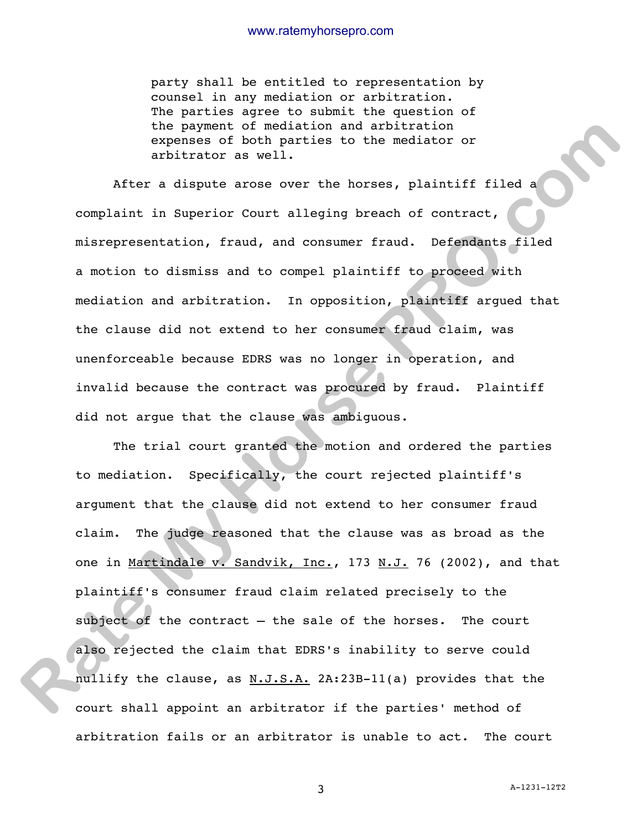party shall be entitled to representation by counsel in any mediation or arbitration. The parties agree to submit the question of the payment of mediation and arbitration expenses of both parties to the mediator or arbitrator as well.

After a dispute arose over the horses, plaintiff filed a complaint in Superior Court alleging breach of contract, misrepresentation, fraud, and consumer fraud. Defendants filed a motion to dismiss and to compel plaintiff to proceed with mediation and arbitration. In opposition, plaintiff argued that the clause did not extend to her consumer fraud claim, was unenforceable because EDRS was no longer in operation, and invalid because the contract was procured by fraud. Plaintiff did not argue that the clause was ambiguous.

The trial court granted the motion and ordered the parties to mediation. Specifically, the court rejected plaintiff's argument that the clause did not extend to her consumer fraud claim. The judge reasoned that the clause was as broad as the one in Martindale v. Sandvik, Inc., 173 N.J. 76 (2002), and that plaintiff's consumer fraud claim related precisely to the subject of the contract - the sale of the horses. The court also rejected the claim that EDRS's inability to serve could nullify the clause, as N.J.S.A. 2A:23B-11(a) provides that the court shall appoint an arbitrator if the parties' method of arbitration fails or an arbitrator is unable to act. The court the payment of modiation and arbitration reduces<br>expenses of both parties to the mediator or<br>arbitrator as well.<br>After a dispute arose over the horses, plaintiff filed a<br>complaint in superior Court alleging breach of contr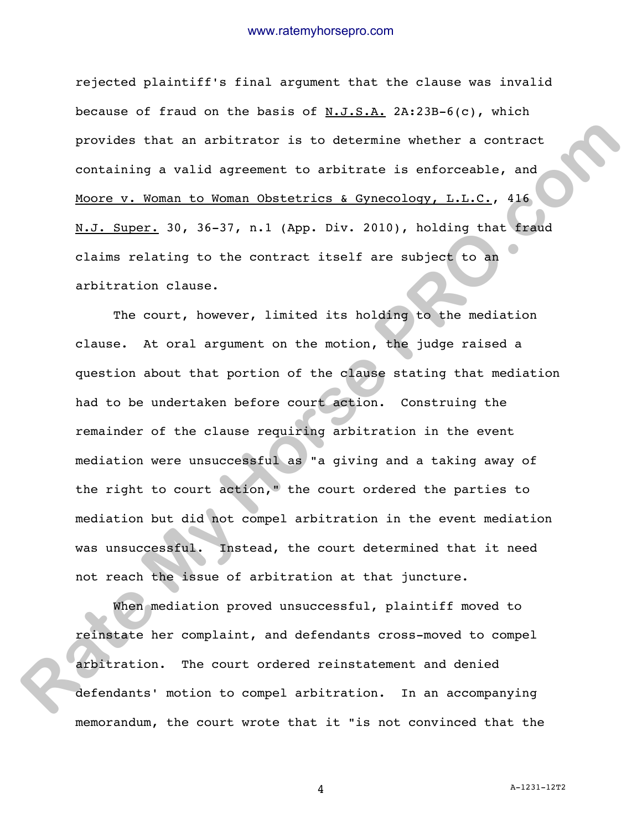rejected plaintiff's final argument that the clause was invalid because of fraud on the basis of  $N.J.S.A.$  2A:23B-6(c), which provides that an arbitrator is to determine whether a contract containing a valid agreement to arbitrate is enforceable, and Moore v. Woman to Woman Obstetrics & Gynecology, L.L.C., 416 N.J. Super. 30, 36-37, n.1 (App. Div. 2010), holding that fraud claims relating to the contract itself are subject to an arbitration clause.

The court, however, limited its holding to the mediation clause. At oral argument on the motion, the judge raised a question about that portion of the clause stating that mediation had to be undertaken before court action. Construing the remainder of the clause requiring arbitration in the event mediation were unsuccessful as "a giving and a taking away of the right to court action," the court ordered the parties to mediation but did not compel arbitration in the event mediation was unsuccessful. Instead, the court determined that it need not reach the issue of arbitration at that juncture. provides that an arbitrator is to determine whether a contract<br>containing a valid agreement to arbitrate is enforceable, and<br>Moore v. Woman to Moman Obstatrics & Gynecology, L.L.C., 416<br>W.L. Super, 30, 36-37, n.1 (App. Div

When mediation proved unsuccessful, plaintiff moved to reinstate her complaint, and defendants cross-moved to compel arbitration. The court ordered reinstatement and denied defendants' motion to compel arbitration. In an accompanying memorandum, the court wrote that it "is not convinced that the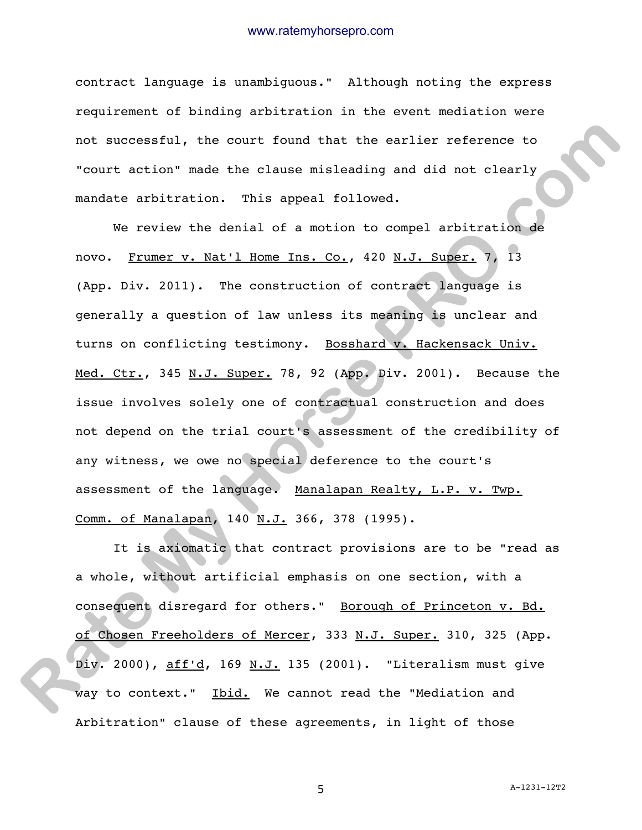contract language is unambiguous." Although noting the express requirement of binding arbitration in the event mediation were not successful, the court found that the earlier reference to "court action" made the clause misleading and did not clearly mandate arbitration. This appeal followed.

 We review the denial of a motion to compel arbitration de novo. Frumer v. Nat'l Home Ins. Co., 420 N.J. Super. 7, 13 (App. Div. 2011). The construction of contract language is generally a question of law unless its meaning is unclear and turns on conflicting testimony. Bosshard v. Hackensack Univ. Med. Ctr., 345 N.J. Super. 78, 92 (App. Div. 2001). Because the issue involves solely one of contractual construction and does not depend on the trial court's assessment of the credibility of any witness, we owe no special deference to the court's assessment of the language. Manalapan Realty, L.P. v. Twp. Comm. of Manalapan, 140 N.J. 366, 378 (1995). not successful, the court found that the earlier reference to<br>"court action" made the clause misleading and did not clearly<br>mandate achitration. This appeal followed.<br>We review the denial of a motion to compal arbitration

 It is axiomatic that contract provisions are to be "read as a whole, without artificial emphasis on one section, with a consequent disregard for others." Borough of Princeton v. Bd. of Chosen Freeholders of Mercer, 333 N.J. Super. 310, 325 (App. Div. 2000), aff'd, 169 N.J. 135 (2001). "Literalism must give way to context." Ibid. We cannot read the "Mediation and Arbitration" clause of these agreements, in light of those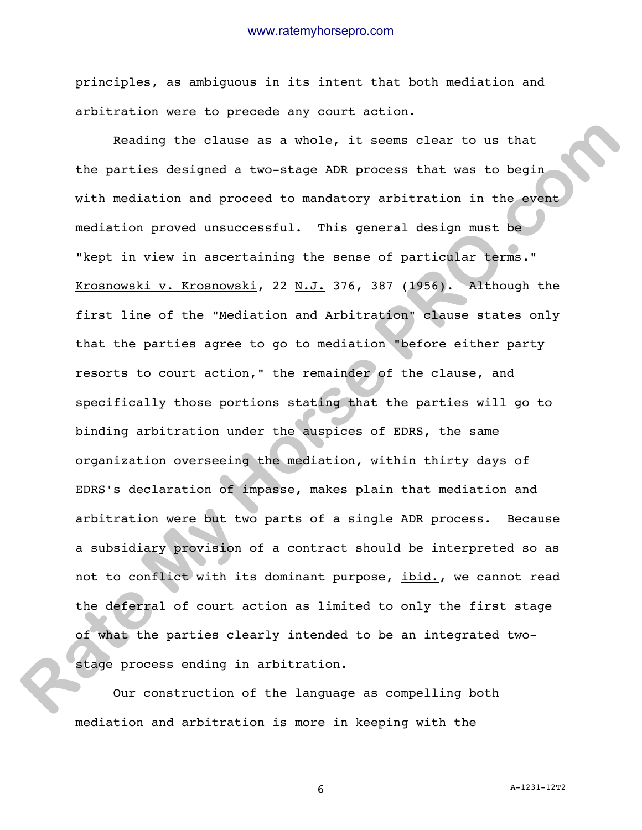principles, as ambiguous in its intent that both mediation and arbitration were to precede any court action.

 Reading the clause as a whole, it seems clear to us that the parties designed a two-stage ADR process that was to begin with mediation and proceed to mandatory arbitration in the event mediation proved unsuccessful. This general design must be "kept in view in ascertaining the sense of particular terms." Krosnowski v. Krosnowski, 22 N.J. 376, 387 (1956). Although the first line of the "Mediation and Arbitration" clause states only that the parties agree to go to mediation "before either party resorts to court action," the remainder of the clause, and specifically those portions stating that the parties will go to binding arbitration under the auspices of EDRS, the same organization overseeing the mediation, within thirty days of EDRS's declaration of impasse, makes plain that mediation and arbitration were but two parts of a single ADR process. Because a subsidiary provision of a contract should be interpreted so as not to conflict with its dominant purpose, ibid., we cannot read the deferral of court action as limited to only the first stage of what the parties clearly intended to be an integrated twostage process ending in arbitration. Reading the clause as a whole, it seems clear to us that<br>the parties designed a two-stage ADR process that was to begin<br>with mediation and proceed to mandatory arbitration in the evant<br>mediation proved unsuccessful. This g

Our construction of the language as compelling both mediation and arbitration is more in keeping with the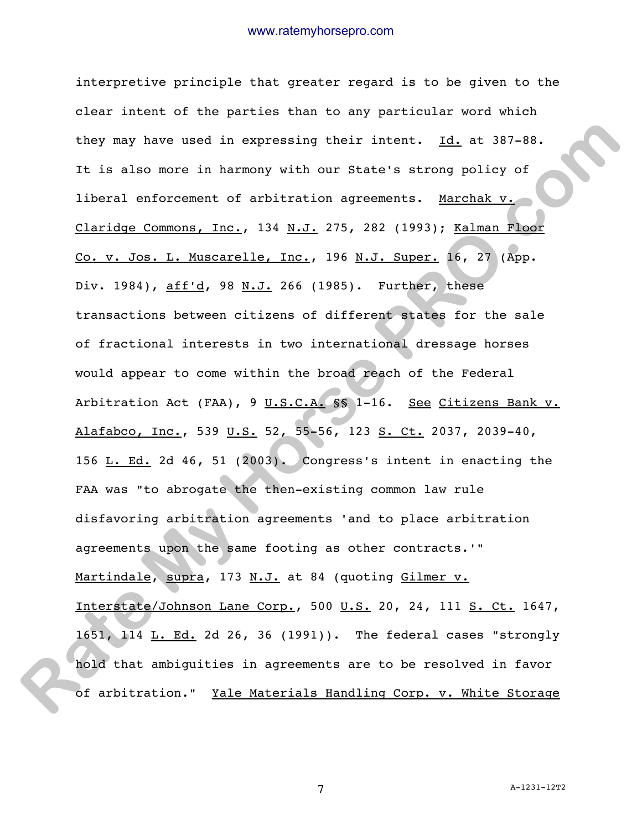interpretive principle that greater regard is to be given to the clear intent of the parties than to any particular word which they may have used in expressing their intent. Id. at 387-88. It is also more in harmony with our State's strong policy of liberal enforcement of arbitration agreements. Marchak v. Claridge Commons, Inc., 134 N.J. 275, 282 (1993); Kalman Floor Co. v. Jos. L. Muscarelle, Inc., 196 N.J. Super. 16, 27 (App. Div. 1984), aff'd, 98 N.J. 266 (1985). Further, these transactions between citizens of different states for the sale of fractional interests in two international dressage horses would appear to come within the broad reach of the Federal Arbitration Act (FAA), 9 U.S.C.A. §§ 1-16. See Citizens Bank v. Alafabco, Inc., 539 U.S. 52, 55-56, 123 S. Ct. 2037, 2039-40, 156  $L. Ed.$  2d 46, 51 (2003). Congress's intent in enacting the FAA was "to abrogate the then-existing common law rule disfavoring arbitration agreements 'and to place arbitration agreements upon the same footing as other contracts.'" Martindale, supra, 173 N.J. at 84 (quoting Gilmer v. Interstate/Johnson Lane Corp., 500 U.S. 20, 24, 111 S. Ct. 1647, 1651, 114 L. Ed. 2d 26, 36 (1991)). The federal cases "strongly hold that ambiguities in agreements are to be resolved in favor of arbitration." Yale Materials Handling Corp. v. White Storage they may have used in expressing their intent. <u>Id.</u> at 387-88.<br>It is also more in harmony with our state's strong policy of<br>liberal onforcement of arbitration agreements. <u>Marchak v.</u><br>Co. v. Jos. I. Muscarelle, Inc., 134